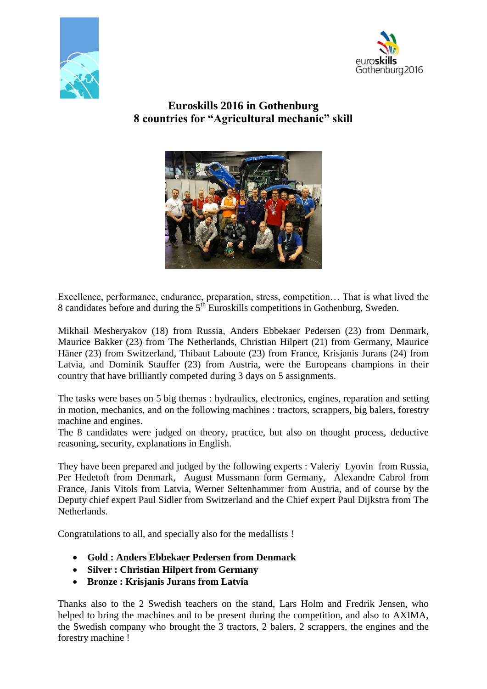



## **Euroskills 2016 in Gothenburg 8 countries for "Agricultural mechanic" skill**



Excellence, performance, endurance, preparation, stress, competition… That is what lived the 8 candidates before and during the  $5<sup>th</sup>$  Euroskills competitions in Gothenburg, Sweden.

Mikhail Mesheryakov (18) from Russia, Anders Ebbekaer Pedersen (23) from Denmark, Maurice Bakker (23) from The Netherlands, Christian Hilpert (21) from Germany, Maurice Häner (23) from Switzerland, Thibaut Laboute (23) from France, Krisjanis Jurans (24) from Latvia, and Dominik Stauffer (23) from Austria, were the Europeans champions in their country that have brilliantly competed during 3 days on 5 assignments.

The tasks were bases on 5 big themas : hydraulics, electronics, engines, reparation and setting in motion, mechanics, and on the following machines : tractors, scrappers, big balers, forestry machine and engines.

The 8 candidates were judged on theory, practice, but also on thought process, deductive reasoning, security, explanations in English.

They have been prepared and judged by the following experts : Valeriy Lyovin from Russia, Per Hedetoft from Denmark, August Mussmann form Germany, Alexandre Cabrol from France, Janis Vitols from Latvia, Werner Seltenhammer from Austria, and of course by the Deputy chief expert Paul Sidler from Switzerland and the Chief expert Paul Dijkstra from The Netherlands.

Congratulations to all, and specially also for the medallists !

- **Gold : Anders Ebbekaer Pedersen from Denmark**
- **Silver : Christian Hilpert from Germany**
- **Bronze : Krisjanis Jurans from Latvia**

Thanks also to the 2 Swedish teachers on the stand, Lars Holm and Fredrik Jensen, who helped to bring the machines and to be present during the competition, and also to AXIMA, the Swedish company who brought the 3 tractors, 2 balers, 2 scrappers, the engines and the forestry machine !